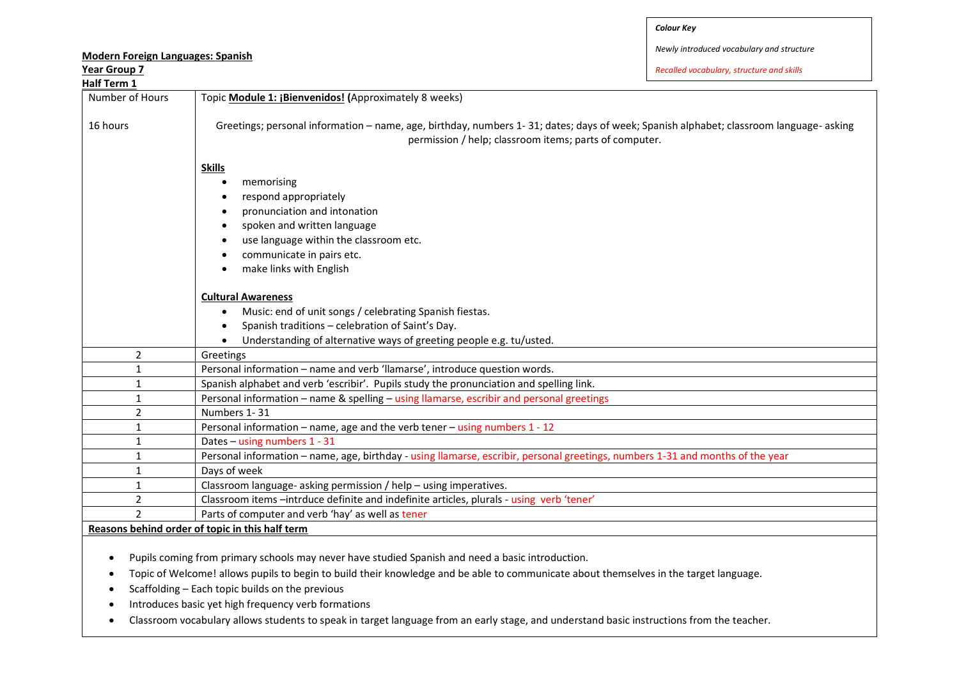*Newly introduced vocabulary and structure*

*Recalled vocabulary, structure and skills*

| ical Uluup /    | necunea vocubului y, structure unu skill.                                                                                              |
|-----------------|----------------------------------------------------------------------------------------------------------------------------------------|
| Half Term 1     |                                                                                                                                        |
| Number of Hours | Topic Module 1: ¡Bienvenidos! (Approximately 8 weeks)                                                                                  |
|                 |                                                                                                                                        |
| 16 hours        | Greetings; personal information - name, age, birthday, numbers 1-31; dates; days of week; Spanish alphabet; classroom language- asking |
|                 | permission / help; classroom items; parts of computer.                                                                                 |
|                 |                                                                                                                                        |
|                 | <b>Skills</b>                                                                                                                          |
|                 | memorising<br>٠                                                                                                                        |
|                 | respond appropriately                                                                                                                  |
|                 | pronunciation and intonation                                                                                                           |
|                 | spoken and written language<br>٠                                                                                                       |
|                 | use language within the classroom etc.                                                                                                 |
|                 | communicate in pairs etc.                                                                                                              |
|                 |                                                                                                                                        |
|                 | make links with English                                                                                                                |
|                 | <b>Cultural Awareness</b>                                                                                                              |
|                 | Music: end of unit songs / celebrating Spanish fiestas.                                                                                |
|                 | Spanish traditions - celebration of Saint's Day.<br>$\bullet$                                                                          |
|                 | Understanding of alternative ways of greeting people e.g. tu/usted.                                                                    |
|                 |                                                                                                                                        |
| $\overline{2}$  | Greetings                                                                                                                              |
| $1\,$           | Personal information - name and verb 'llamarse', introduce question words.                                                             |
| $\mathbf{1}$    | Spanish alphabet and verb 'escribir'. Pupils study the pronunciation and spelling link.                                                |
| 1               | Personal information - name & spelling - using llamarse, escribir and personal greetings                                               |
| $\overline{2}$  | Numbers 1-31                                                                                                                           |
| $\mathbf{1}$    | Personal information - name, age and the verb tener - using numbers 1 - 12                                                             |
| 1               | Dates - using numbers 1 - 31                                                                                                           |
| 1               | Personal information – name, age, birthday - using llamarse, escribir, personal greetings, numbers 1-31 and months of the year         |
| $\mathbf{1}$    | Days of week                                                                                                                           |
| $\mathbf{1}$    | Classroom language- asking permission / help - using imperatives.                                                                      |
| $\overline{2}$  | Classroom items -intrduce definite and indefinite articles, plurals - using verb 'tener'                                               |
| $\overline{2}$  | Parts of computer and verb 'hay' as well as tener                                                                                      |
|                 | Reasons behind order of topic in this half term                                                                                        |
|                 |                                                                                                                                        |

Pupils coming from primary schools may never have studied Spanish and need a basic introduction.

Topic of Welcome! allows pupils to begin to build their knowledge and be able to communicate about themselves in the target language.

 $\bullet$  Scaffolding – Each topic builds on the previous

• Introduces basic yet high frequency verb formations

Classroom vocabulary allows students to speak in target language from an early stage, and understand basic instructions from the teacher.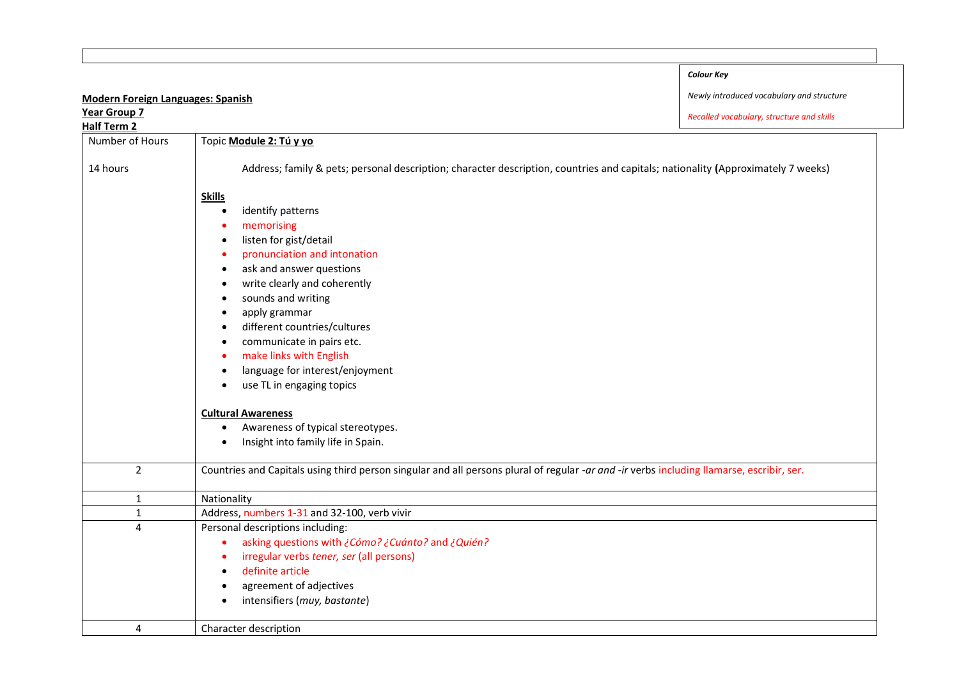|                                          |                                                                                                                                           | <b>Colour Key</b>                         |
|------------------------------------------|-------------------------------------------------------------------------------------------------------------------------------------------|-------------------------------------------|
| <b>Modern Foreign Languages: Spanish</b> |                                                                                                                                           | Newly introduced vocabulary and structure |
| Year Group 7                             |                                                                                                                                           | Recalled vocabulary, structure and skills |
| <b>Half Term 2</b>                       |                                                                                                                                           |                                           |
| Number of Hours                          | Topic Module 2: Tú y yo                                                                                                                   |                                           |
| 14 hours                                 | Address; family & pets; personal description; character description, countries and capitals; nationality (Approximately 7 weeks)          |                                           |
|                                          | <b>Skills</b><br>identify patterns<br>$\bullet$                                                                                           |                                           |
|                                          | memorising<br>listen for gist/detail<br>$\bullet$                                                                                         |                                           |
|                                          | pronunciation and intonation<br>$\bullet$<br>ask and answer questions<br>$\bullet$<br>write clearly and coherently<br>$\bullet$           |                                           |
|                                          | sounds and writing<br>$\bullet$<br>apply grammar<br>$\bullet$                                                                             |                                           |
|                                          | different countries/cultures<br>$\bullet$                                                                                                 |                                           |
|                                          | communicate in pairs etc.<br>$\bullet$                                                                                                    |                                           |
|                                          | make links with English<br>$\bullet$<br>language for interest/enjoyment<br>$\bullet$                                                      |                                           |
|                                          | use TL in engaging topics<br>$\bullet$                                                                                                    |                                           |
|                                          | <b>Cultural Awareness</b>                                                                                                                 |                                           |
|                                          | Awareness of typical stereotypes.<br>$\bullet$                                                                                            |                                           |
|                                          | Insight into family life in Spain.<br>$\bullet$                                                                                           |                                           |
| $\overline{2}$                           | Countries and Capitals using third person singular and all persons plural of regular -ar and -ir verbs including llamarse, escribir, ser. |                                           |
| 1                                        | Nationality                                                                                                                               |                                           |
| $\mathbf{1}$                             | Address, numbers 1-31 and 32-100, verb vivir                                                                                              |                                           |
| $\overline{4}$                           | Personal descriptions including:                                                                                                          |                                           |
|                                          | asking questions with ¿Cómo? ¿Cuánto? and ¿Quién?<br>$\bullet$                                                                            |                                           |
|                                          | irregular verbs tener, ser (all persons)<br>$\bullet$<br>definite article                                                                 |                                           |
|                                          | $\bullet$                                                                                                                                 |                                           |
|                                          | agreement of adjectives<br>$\bullet$                                                                                                      |                                           |
|                                          | intensifiers (muy, bastante)<br>$\bullet$                                                                                                 |                                           |
| 4                                        | Character description                                                                                                                     |                                           |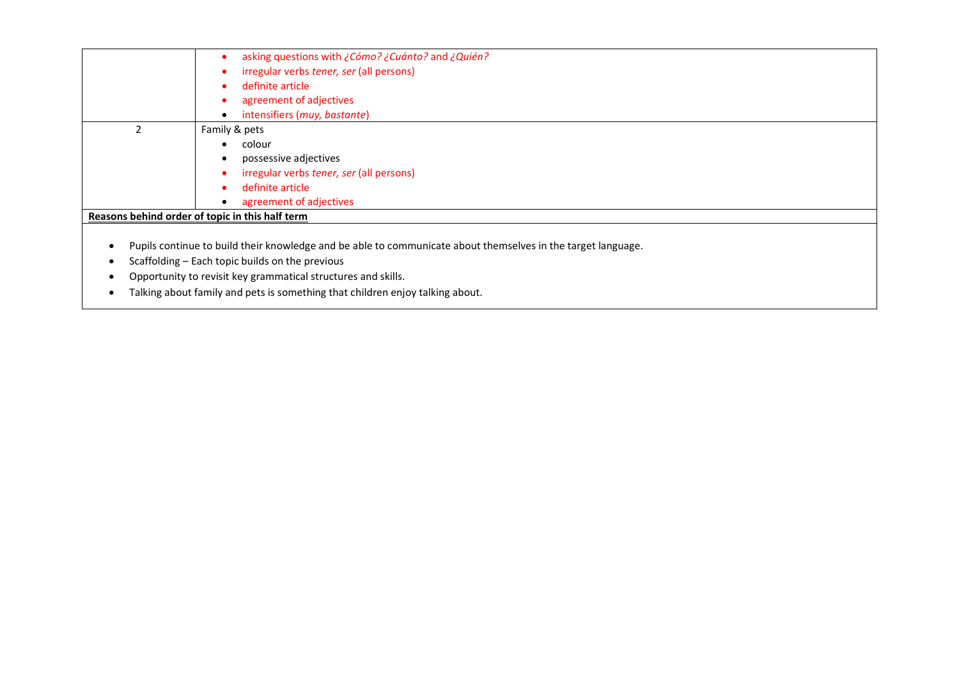| asking questions with ¿Cómo? ¿Cuánto? and ¿Quién?     |
|-------------------------------------------------------|
| irregular verbs tener, ser (all persons)              |
| definite article<br>$\bullet$                         |
| agreement of adjectives                               |
| intensifiers (muy, bastante)                          |
| Family & pets                                         |
| colour<br>٠                                           |
| possessive adjectives                                 |
| irregular verbs tener, ser (all persons)<br>$\bullet$ |
| definite article<br>$\bullet$                         |
| agreement of adjectives                               |
| Reasons behind order of topic in this half term       |
|                                                       |
|                                                       |

- Pupils continue to build their knowledge and be able to communicate about themselves in the target language.
- Scaffolding Each topic builds on the previous
- Opportunity to revisit key grammatical structures and skills.
- Talking about family and pets is something that children enjoy talking about.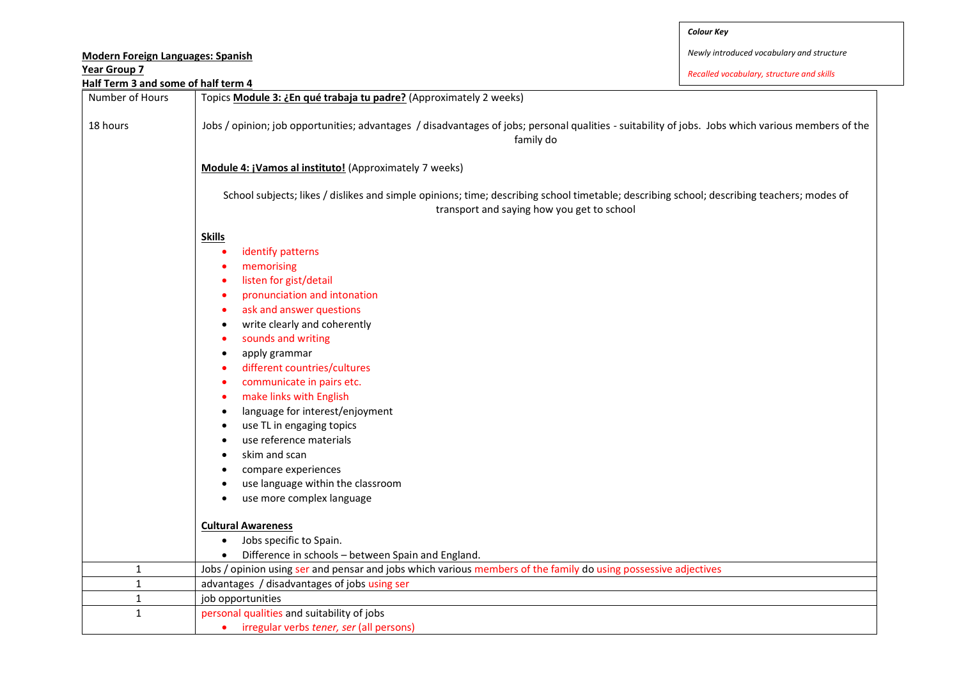| <b>Modern Foreign Languages: Spanish</b> |                                                                                                                                                                                                                                                                                                                                                                                                                                                                                                                                                                                                                                                                                                             | Newly introduced vocabulary and structure |  |  |
|------------------------------------------|-------------------------------------------------------------------------------------------------------------------------------------------------------------------------------------------------------------------------------------------------------------------------------------------------------------------------------------------------------------------------------------------------------------------------------------------------------------------------------------------------------------------------------------------------------------------------------------------------------------------------------------------------------------------------------------------------------------|-------------------------------------------|--|--|
| <b>Year Group 7</b>                      |                                                                                                                                                                                                                                                                                                                                                                                                                                                                                                                                                                                                                                                                                                             | Recalled vocabulary, structure and skills |  |  |
| Half Term 3 and some of half term 4      |                                                                                                                                                                                                                                                                                                                                                                                                                                                                                                                                                                                                                                                                                                             |                                           |  |  |
| Number of Hours                          | Topics Module 3: ¿En qué trabaja tu padre? (Approximately 2 weeks)                                                                                                                                                                                                                                                                                                                                                                                                                                                                                                                                                                                                                                          |                                           |  |  |
| 18 hours                                 | Jobs / opinion; job opportunities; advantages / disadvantages of jobs; personal qualities - suitability of jobs. Jobs which various members of the<br>family do                                                                                                                                                                                                                                                                                                                                                                                                                                                                                                                                             |                                           |  |  |
|                                          | Module 4: ¡Vamos al instituto! (Approximately 7 weeks)<br>School subjects; likes / dislikes and simple opinions; time; describing school timetable; describing school; describing teachers; modes of<br>transport and saying how you get to school                                                                                                                                                                                                                                                                                                                                                                                                                                                          |                                           |  |  |
|                                          |                                                                                                                                                                                                                                                                                                                                                                                                                                                                                                                                                                                                                                                                                                             |                                           |  |  |
|                                          | <b>Skills</b><br>identify patterns<br>$\bullet$<br>memorising<br>listen for gist/detail<br>٠<br>pronunciation and intonation<br>ask and answer questions<br>$\bullet$<br>write clearly and coherently<br>$\bullet$<br>sounds and writing<br>٠<br>apply grammar<br>$\bullet$<br>different countries/cultures<br>$\bullet$<br>communicate in pairs etc.<br>٠<br>make links with English<br>٠<br>language for interest/enjoyment<br>$\bullet$<br>use TL in engaging topics<br>$\bullet$<br>use reference materials<br>$\bullet$<br>skim and scan<br>compare experiences<br>use language within the classroom<br>use more complex language<br><b>Cultural Awareness</b><br>Jobs specific to Spain.<br>$\bullet$ |                                           |  |  |
|                                          | Difference in schools - between Spain and England.<br>$\bullet$                                                                                                                                                                                                                                                                                                                                                                                                                                                                                                                                                                                                                                             |                                           |  |  |
| 1                                        | Jobs / opinion using ser and pensar and jobs which various members of the family do using possessive adjectives                                                                                                                                                                                                                                                                                                                                                                                                                                                                                                                                                                                             |                                           |  |  |
| $\mathbf{1}$                             | advantages / disadvantages of jobs using ser                                                                                                                                                                                                                                                                                                                                                                                                                                                                                                                                                                                                                                                                |                                           |  |  |
| $\mathbf{1}$                             | job opportunities                                                                                                                                                                                                                                                                                                                                                                                                                                                                                                                                                                                                                                                                                           |                                           |  |  |
| $\mathbf{1}$                             | personal qualities and suitability of jobs                                                                                                                                                                                                                                                                                                                                                                                                                                                                                                                                                                                                                                                                  |                                           |  |  |

irregular verbs *tener, ser* (all persons)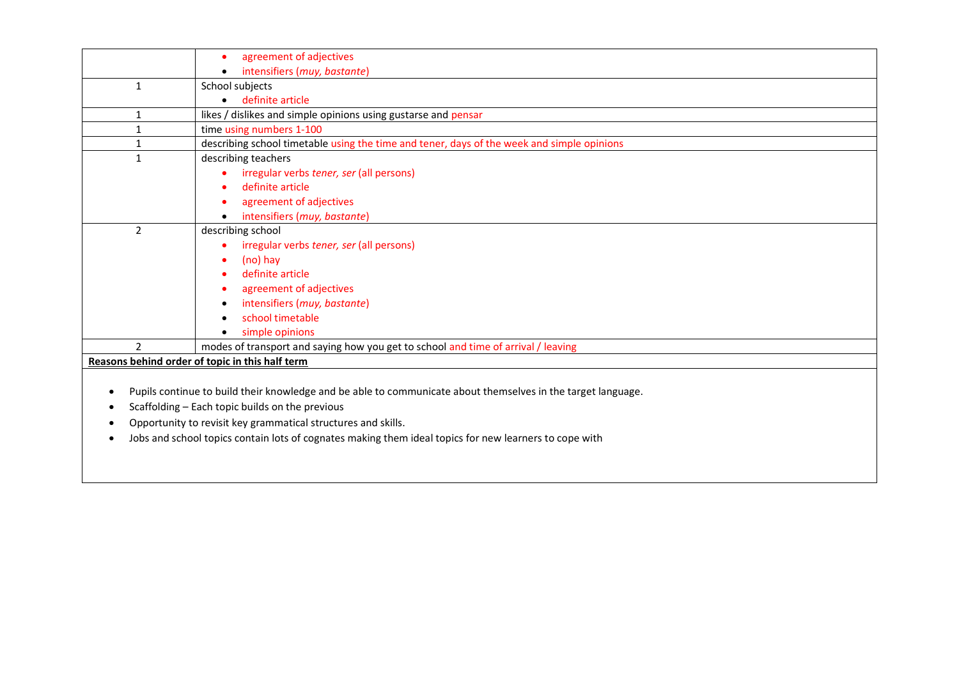|                | agreement of adjectives                                                                                      |
|----------------|--------------------------------------------------------------------------------------------------------------|
|                | intensifiers (muy, bastante)                                                                                 |
| $\mathbf{1}$   | School subjects                                                                                              |
|                | definite article                                                                                             |
| $\mathbf{1}$   | likes / dislikes and simple opinions using gustarse and pensar                                               |
|                | time using numbers 1-100                                                                                     |
| 1              | describing school timetable using the time and tener, days of the week and simple opinions                   |
| 1              | describing teachers                                                                                          |
|                | irregular verbs tener, ser (all persons)                                                                     |
|                | definite article                                                                                             |
|                | agreement of adjectives                                                                                      |
|                | intensifiers (muy, bastante)                                                                                 |
| $\overline{2}$ | describing school                                                                                            |
|                | irregular verbs tener, ser (all persons)                                                                     |
|                | (no) hay<br>٠                                                                                                |
|                | definite article<br>٠                                                                                        |
|                | agreement of adjectives                                                                                      |
|                | intensifiers (muy, bastante)<br>$\bullet$                                                                    |
|                | school timetable<br>$\bullet$                                                                                |
|                | simple opinions<br>$\bullet$                                                                                 |
| $\mathfrak{p}$ | modes of transport and saying how you get to school and time of arrival / leaving                            |
|                | Reasons behind order of topic in this half term                                                              |
|                |                                                                                                              |
|                | Pupils continue to build their knowledge and be able to communicate about themselves in the target language. |

- Scaffolding Each topic builds on the previous
- Opportunity to revisit key grammatical structures and skills.
- Jobs and school topics contain lots of cognates making them ideal topics for new learners to cope with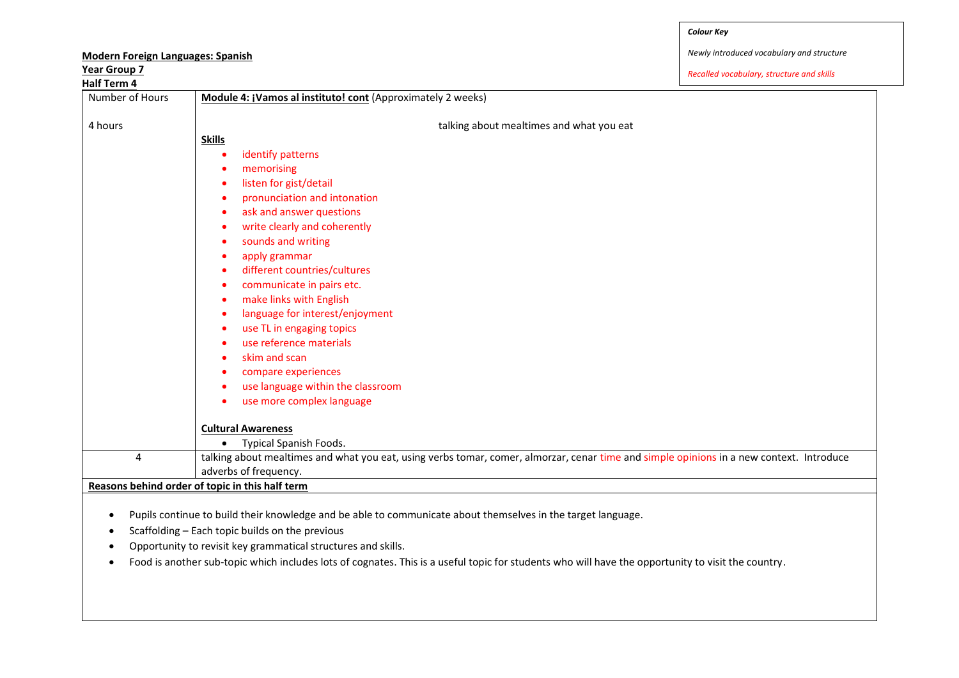*Newly introduced vocabulary and structure*

| <b>Year Group 7</b><br><b>Half Term 4</b> | Recalled vocabulary, structure and skills                                                                                                          |
|-------------------------------------------|----------------------------------------------------------------------------------------------------------------------------------------------------|
| Number of Hours                           | Module 4: ¡Vamos al instituto! cont (Approximately 2 weeks)                                                                                        |
| 4 hours                                   | talking about mealtimes and what you eat                                                                                                           |
|                                           | <b>Skills</b>                                                                                                                                      |
|                                           | identify patterns                                                                                                                                  |
|                                           | memorising                                                                                                                                         |
|                                           | listen for gist/detail                                                                                                                             |
|                                           | pronunciation and intonation<br>٠                                                                                                                  |
|                                           | ask and answer questions<br>٠                                                                                                                      |
|                                           | write clearly and coherently<br>$\bullet$                                                                                                          |
|                                           | sounds and writing                                                                                                                                 |
|                                           | apply grammar                                                                                                                                      |
|                                           | different countries/cultures                                                                                                                       |
|                                           | communicate in pairs etc.<br>$\bullet$                                                                                                             |
|                                           | make links with English<br>٠                                                                                                                       |
|                                           | language for interest/enjoyment<br>$\bullet$                                                                                                       |
|                                           | use TL in engaging topics                                                                                                                          |
|                                           | use reference materials                                                                                                                            |
|                                           | skim and scan                                                                                                                                      |
|                                           | compare experiences                                                                                                                                |
|                                           | use language within the classroom                                                                                                                  |
|                                           | use more complex language                                                                                                                          |
|                                           | <b>Cultural Awareness</b>                                                                                                                          |
|                                           | Typical Spanish Foods.                                                                                                                             |
| 4                                         | talking about mealtimes and what you eat, using verbs tomar, comer, almorzar, cenar time and simple opinions in a new context. Introduce           |
|                                           | adverbs of frequency.                                                                                                                              |
|                                           | Reasons behind order of topic in this half term                                                                                                    |
|                                           |                                                                                                                                                    |
|                                           | Pupils continue to build their knowledge and be able to communicate about themselves in the target language.                                       |
|                                           | Scaffolding - Each topic builds on the previous                                                                                                    |
|                                           | Opportunity to revisit key grammatical structures and skills.                                                                                      |
|                                           | Food is another sub-topic which includes lots of cognates. This is a useful topic for students who will have the opportunity to visit the country. |

## **Modern Foreign Languages: Spanish**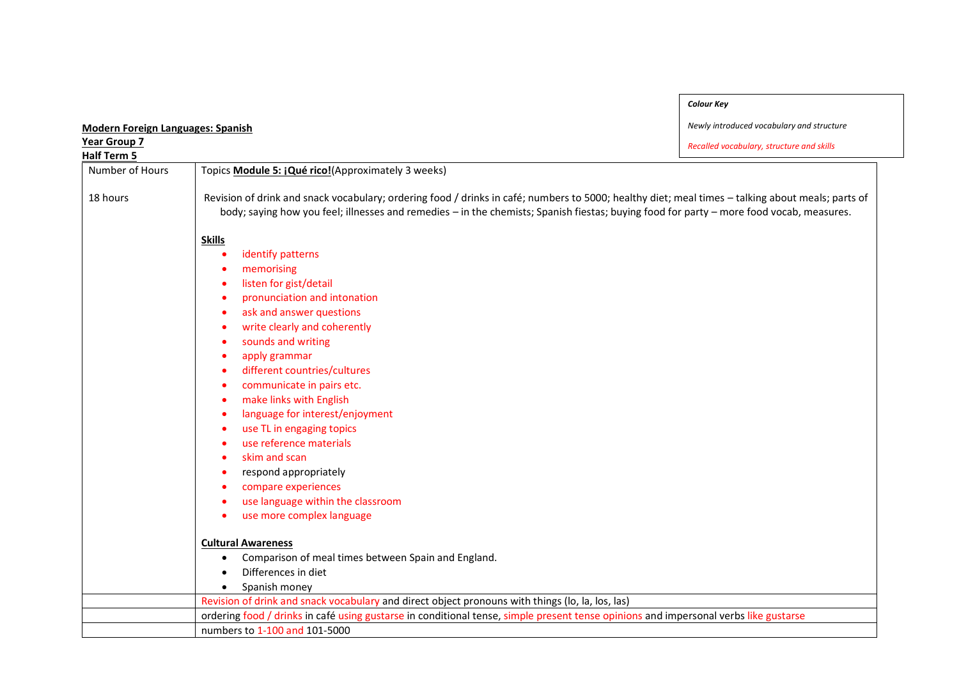| <b>Modern Foreign Languages: Spanish</b> |                                                                                                                                                                                                                                                                                                                                                                                                                                                                                                                                                                                                                                                                                                                                                                                       | Newly introduced vocabulary and structure |
|------------------------------------------|---------------------------------------------------------------------------------------------------------------------------------------------------------------------------------------------------------------------------------------------------------------------------------------------------------------------------------------------------------------------------------------------------------------------------------------------------------------------------------------------------------------------------------------------------------------------------------------------------------------------------------------------------------------------------------------------------------------------------------------------------------------------------------------|-------------------------------------------|
| Year Group 7                             |                                                                                                                                                                                                                                                                                                                                                                                                                                                                                                                                                                                                                                                                                                                                                                                       | Recalled vocabulary, structure and skills |
| <b>Half Term 5</b>                       |                                                                                                                                                                                                                                                                                                                                                                                                                                                                                                                                                                                                                                                                                                                                                                                       |                                           |
| Number of Hours                          | Topics Module 5: ¡Qué rico!(Approximately 3 weeks)                                                                                                                                                                                                                                                                                                                                                                                                                                                                                                                                                                                                                                                                                                                                    |                                           |
| 18 hours                                 | Revision of drink and snack vocabulary; ordering food / drinks in café; numbers to 5000; healthy diet; meal times - talking about meals; parts of<br>body; saying how you feel; illnesses and remedies - in the chemists; Spanish fiestas; buying food for party - more food vocab, measures.                                                                                                                                                                                                                                                                                                                                                                                                                                                                                         |                                           |
|                                          | <b>Skills</b><br>identify patterns<br>memorising<br>listen for gist/detail<br>$\bullet$<br>pronunciation and intonation<br>$\bullet$<br>ask and answer questions<br>$\bullet$<br>write clearly and coherently<br>٠<br>sounds and writing<br>٠<br>apply grammar<br>٠<br>different countries/cultures<br>٠<br>communicate in pairs etc.<br>٠<br>make links with English<br>$\bullet$<br>language for interest/enjoyment<br>٠<br>use TL in engaging topics<br>٠<br>use reference materials<br>skim and scan<br>respond appropriately<br>compare experiences<br>use language within the classroom<br>$\bullet$<br>use more complex language<br>٠<br><b>Cultural Awareness</b><br>Comparison of meal times between Spain and England.<br>$\bullet$<br>Differences in diet<br>Spanish money |                                           |
|                                          | Revision of drink and snack vocabulary and direct object pronouns with things (lo, la, los, las)                                                                                                                                                                                                                                                                                                                                                                                                                                                                                                                                                                                                                                                                                      |                                           |

ordering food / drinks in café using gustarse in conditional tense, simple present tense opinions and impersonal verbs like gustarse

numbers to 1-100 and 101-5000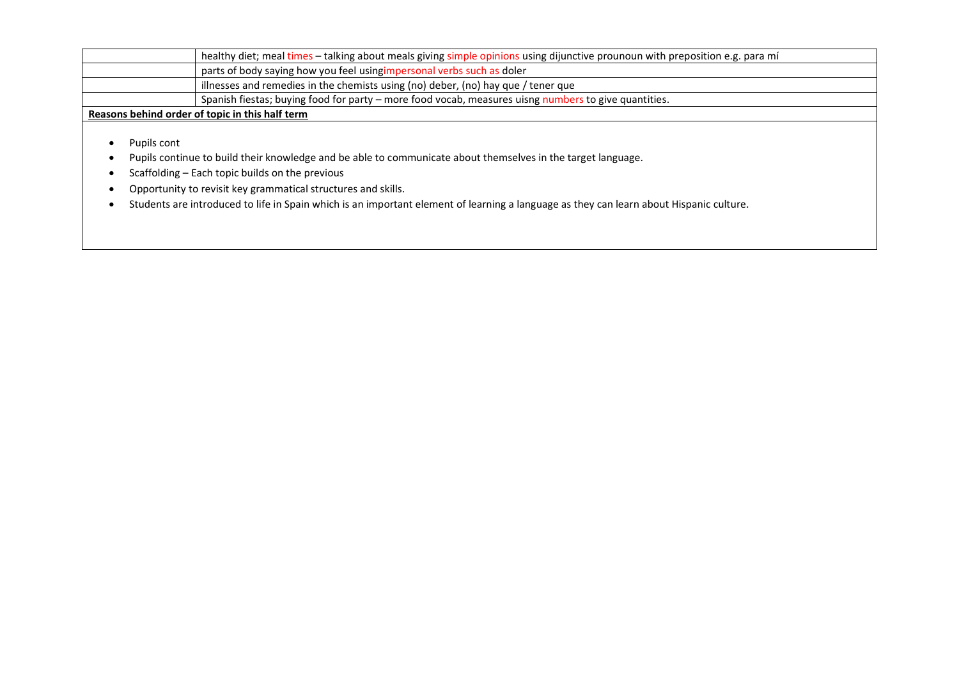|                                                 | healthy diet; meal times - talking about meals giving simple opinions using dijunctive prounoun with preposition e.g. para mí |  |
|-------------------------------------------------|-------------------------------------------------------------------------------------------------------------------------------|--|
|                                                 | parts of body saying how you feel using impersonal verbs such as doler                                                        |  |
|                                                 | illnesses and remedies in the chemists using (no) deber, (no) hay que / tener que                                             |  |
|                                                 | Spanish fiestas; buying food for party - more food vocab, measures uisng numbers to give quantities.                          |  |
| Reasons behind order of topic in this half term |                                                                                                                               |  |

- Pupils cont
- Pupils continue to build their knowledge and be able to communicate about themselves in the target language.
- Scaffolding Each topic builds on the previous
- Opportunity to revisit key grammatical structures and skills.
- Students are introduced to life in Spain which is an important element of learning a language as they can learn about Hispanic culture.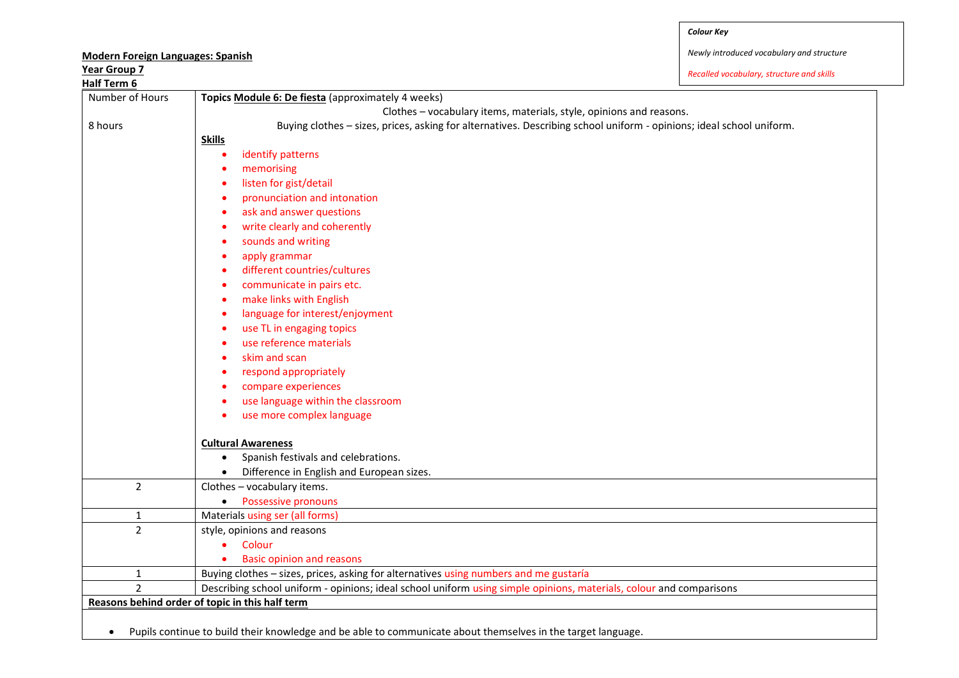| <b>Modern Foreign Languages: Spanish</b> |                                                                                                                                                                                                                                                                                                                                                                                                                                                                                                                      | Newly introduced vocabulary and structure |
|------------------------------------------|----------------------------------------------------------------------------------------------------------------------------------------------------------------------------------------------------------------------------------------------------------------------------------------------------------------------------------------------------------------------------------------------------------------------------------------------------------------------------------------------------------------------|-------------------------------------------|
| <b>Year Group 7</b>                      |                                                                                                                                                                                                                                                                                                                                                                                                                                                                                                                      |                                           |
| Half Term 6                              |                                                                                                                                                                                                                                                                                                                                                                                                                                                                                                                      | Recalled vocabulary, structure and skills |
| Number of Hours<br>8 hours               | Topics Module 6: De fiesta (approximately 4 weeks)<br>Clothes - vocabulary items, materials, style, opinions and reasons.<br>Buying clothes - sizes, prices, asking for alternatives. Describing school uniform - opinions; ideal school uniform.<br><b>Skills</b><br>identify patterns<br>$\bullet$<br>memorising<br>$\bullet$<br>listen for gist/detail<br>٠<br>pronunciation and intonation<br>$\bullet$<br>ask and answer questions<br>$\bullet$<br>write clearly and coherently<br>٠<br>sounds and writing<br>٠ |                                           |
|                                          | apply grammar<br>$\bullet$<br>different countries/cultures<br>$\bullet$<br>communicate in pairs etc.<br>٠<br>make links with English<br>٠<br>language for interest/enjoyment<br>٠<br>use TL in engaging topics<br>$\bullet$<br>use reference materials<br>٠<br>skim and scan<br>٠<br>respond appropriately<br>compare experiences<br>use language within the classroom<br>٠<br>use more complex language<br>$\bullet$                                                                                                |                                           |
|                                          | <b>Cultural Awareness</b><br>Spanish festivals and celebrations.<br>$\bullet$<br>Difference in English and European sizes.<br>$\bullet$                                                                                                                                                                                                                                                                                                                                                                              |                                           |
| $\overline{2}$                           | Clothes - vocabulary items.<br>Possessive pronouns<br>$\bullet$                                                                                                                                                                                                                                                                                                                                                                                                                                                      |                                           |
| $\mathbf 1$                              | Materials using ser (all forms)                                                                                                                                                                                                                                                                                                                                                                                                                                                                                      |                                           |
| $\overline{2}$                           | style, opinions and reasons<br>Colour<br><b>Basic opinion and reasons</b>                                                                                                                                                                                                                                                                                                                                                                                                                                            |                                           |
| $\mathbf 1$                              | Buying clothes - sizes, prices, asking for alternatives using numbers and me gustaría                                                                                                                                                                                                                                                                                                                                                                                                                                |                                           |
| $\overline{2}$                           | Describing school uniform - opinions; ideal school uniform using simple opinions, materials, colour and comparisons                                                                                                                                                                                                                                                                                                                                                                                                  |                                           |

Pupils continue to build their knowledge and be able to communicate about themselves in the target language.

**Reasons behind order of topic in this half term**